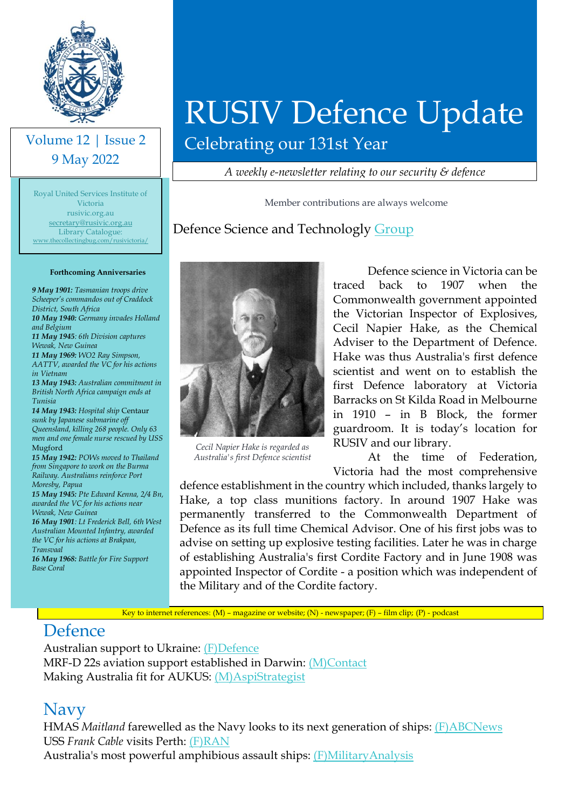

#### Volume 12 | Issue 2 9 May 2022

[www.thecollectingbug.com/rusivictoria/](http://www.thecollectingbug.com/rusivictoria/)<br> Royal United Services Institute of Victoria rusivic.org.au [secretary@rusivic.org.au](mailto:secretary@rusivic.org.au) Library Catalogue:

#### **Forthcoming Anniversaries**

*9 May 1901: Tasmanian troops drive Scheeper's commandos out of Craddock District, South Africa 10 May 1940: Germany invades Holland and Belgium 11 May 1945: 6th Division captures Wewak, New Guinea 11 May 1969: WO2 Ray Simpson, AATTV, awarded the VC for his actions in Vietnam 13 May 1943: Australian commitment in British North Africa campaign ends at Tunisia 14 May 1943: Hospital ship* Centaur *sunk by Japanese submarine off Queensland, killing 268 people. Only 63 men and one female nurse rescued by USS*  Mugford *15 May 1942: POWs moved to Thailand from Singapore to work on the Burma Railway. Australians reinforce Port Moresby, Papua*

*15 May 1945: Pte Edward Kenna, 2/4 Bn, awarded the VC for his actions near Wewak, New Guinea*

*16 May 1901: Lt Frederick Bell, 6th West Australian Mounted Infantry, awarded the VC for his actions at Brakpan, Transvaal*

*16 May 1968: Battle for Fire Support Base Coral*

# RUSIV Defence Update

Celebrating our 131st Year

*A weekly e-newsletter relating to our security & defence*

Member contributions are always welcome

#### Defence Science and Technologly [Group](https://www.dst.defence.gov.au/discover-dst/our-history)



*Cecil Napier Hake is regarded as Australia's first Defence scientist*

Defence science in Victoria can be traced back to 1907 when the Commonwealth government appointed the Victorian Inspector of Explosives, Cecil Napier Hake, as the Chemical Adviser to the Department of Defence. Hake was thus Australia's first defence scientist and went on to establish the first Defence laboratory at Victoria Barracks on St Kilda Road in Melbourne in 1910 – in B Block, the former guardroom. It is today's location for RUSIV and our library.

At the time of Federation, Victoria had the most comprehensive

defence establishment in the country which included, thanks largely to Hake, a top class munitions factory. In around 1907 Hake was permanently transferred to the Commonwealth Department of Defence as its full time Chemical Advisor. One of his first jobs was to advise on setting up explosive testing facilities. Later he was in charge of establishing Australia's first Cordite Factory and in June 1908 was appointed Inspector of Cordite - a position which was independent of the Military and of the Cordite factory.

Key to internet references: (M) – magazine or website; (N) - newspaper; (F) – film clip; (P) - podcast

#### Defence

Australian support to Ukraine: [\(F\)Defence](https://www.youtube.com/watch?v=P_4scoofYhU) MRF-D 22s aviation support established in Darwin: [\(M\)Contact](https://www.contactairlandandsea.com/2022/04/17/mrf-d-22s-aviation-support-established-in-darwin/) Making Australia fit for AUKUS: [\(M\)AspiStrategist](https://www.aspistrategist.org.au/making-australia-fit-for-aukus/?utm_medium=email&utm_campaign=Daily%20The%20Strategist&utm_content=Daily%20The%20Strategist+CID_2587aec997fa1d7266d75519b54ba547&utm_source=CampaignMonitor&utm_term=Making%20Australia%20fit%20for%20AUKUS)

#### Navy

HMAS *Maitland* farewelled as the Navy looks to its next generation of ships: [\(F\)ABCNews](https://www.youtube.com/watch?v=XgtrUC75j8g) USS *Frank Cable* visits Perth: [\(F\)RAN](https://www.youtube.com/watch?v=t7DApz0tGC8) Australia's most powerful amphibious assault ships: [\(F\)MilitaryAnalysis](https://www.youtube.com/watch?v=T9mznGTM9TY)